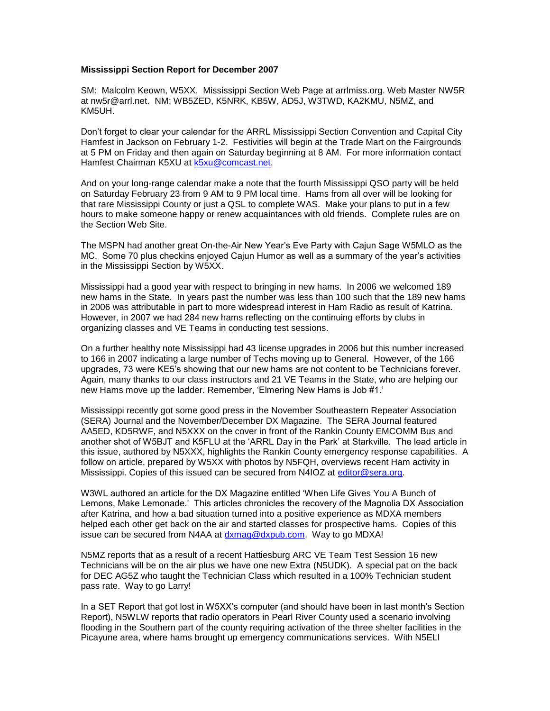## **Mississippi Section Report for December 2007**

SM: Malcolm Keown, W5XX. Mississippi Section Web Page at arrlmiss.org. Web Master NW5R at nw5r@arrl.net. NM: WB5ZED, K5NRK, KB5W, AD5J, W3TWD, KA2KMU, N5MZ, and KM5UH.

Don't forget to clear your calendar for the ARRL Mississippi Section Convention and Capital City Hamfest in Jackson on February 1-2. Festivities will begin at the Trade Mart on the Fairgrounds at 5 PM on Friday and then again on Saturday beginning at 8 AM. For more information contact Hamfest Chairman K5XU at **k5xu@comcast.net**.

And on your long-range calendar make a note that the fourth Mississippi QSO party will be held on Saturday February 23 from 9 AM to 9 PM local time. Hams from all over will be looking for that rare Mississippi County or just a QSL to complete WAS. Make your plans to put in a few hours to make someone happy or renew acquaintances with old friends. Complete rules are on the Section Web Site.

The MSPN had another great On-the-Air New Year's Eve Party with Cajun Sage W5MLO as the MC. Some 70 plus checkins enjoyed Cajun Humor as well as a summary of the year's activities in the Mississippi Section by W5XX.

Mississippi had a good year with respect to bringing in new hams. In 2006 we welcomed 189 new hams in the State. In years past the number was less than 100 such that the 189 new hams in 2006 was attributable in part to more widespread interest in Ham Radio as result of Katrina. However, in 2007 we had 284 new hams reflecting on the continuing efforts by clubs in organizing classes and VE Teams in conducting test sessions.

On a further healthy note Mississippi had 43 license upgrades in 2006 but this number increased to 166 in 2007 indicating a large number of Techs moving up to General. However, of the 166 upgrades, 73 were KE5's showing that our new hams are not content to be Technicians forever. Again, many thanks to our class instructors and 21 VE Teams in the State, who are helping our new Hams move up the ladder. Remember, 'Elmering New Hams is Job #1.'

Mississippi recently got some good press in the November Southeastern Repeater Association (SERA) Journal and the November/December DX Magazine. The SERA Journal featured AA5ED, KD5RWF, and N5XXX on the cover in front of the Rankin County EMCOMM Bus and another shot of W5BJT and K5FLU at the 'ARRL Day in the Park' at Starkville. The lead article in this issue, authored by N5XXX, highlights the Rankin County emergency response capabilities. A follow on article, prepared by W5XX with photos by N5FQH, overviews recent Ham activity in Mississippi. Copies of this issued can be secured from N4IOZ at [editor@sera.org.](mailto:editor@sera.org)

W3WL authored an article for the DX Magazine entitled 'When Life Gives You A Bunch of Lemons, Make Lemonade.' This articles chronicles the recovery of the Magnolia DX Association after Katrina, and how a bad situation turned into a positive experience as MDXA members helped each other get back on the air and started classes for prospective hams. Copies of this issue can be secured from N4AA at [dxmag@dxpub.com.](mailto:dxmag@dxpub.com) Way to go MDXA!

N5MZ reports that as a result of a recent Hattiesburg ARC VE Team Test Session 16 new Technicians will be on the air plus we have one new Extra (N5UDK). A special pat on the back for DEC AG5Z who taught the Technician Class which resulted in a 100% Technician student pass rate. Way to go Larry!

In a SET Report that got lost in W5XX's computer (and should have been in last month's Section Report), N5WLW reports that radio operators in Pearl River County used a scenario involving flooding in the Southern part of the county requiring activation of the three shelter facilities in the Picayune area, where hams brought up emergency communications services. With N5ELI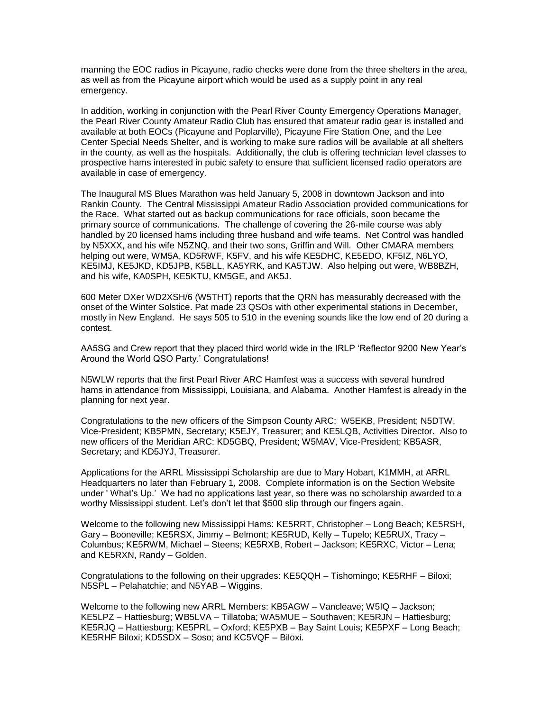manning the EOC radios in Picayune, radio checks were done from the three shelters in the area, as well as from the Picayune airport which would be used as a supply point in any real emergency.

In addition, working in conjunction with the Pearl River County Emergency Operations Manager, the Pearl River County Amateur Radio Club has ensured that amateur radio gear is installed and available at both EOCs (Picayune and Poplarville), Picayune Fire Station One, and the Lee Center Special Needs Shelter, and is working to make sure radios will be available at all shelters in the county, as well as the hospitals. Additionally, the club is offering technician level classes to prospective hams interested in pubic safety to ensure that sufficient licensed radio operators are available in case of emergency.

The Inaugural MS Blues Marathon was held January 5, 2008 in downtown Jackson and into Rankin County. The Central Mississippi Amateur Radio Association provided communications for the Race. What started out as backup communications for race officials, soon became the primary source of communications. The challenge of covering the 26-mile course was ably handled by 20 licensed hams including three husband and wife teams. Net Control was handled by N5XXX, and his wife N5ZNQ, and their two sons, Griffin and Will. Other CMARA members helping out were, WM5A, KD5RWF, K5FV, and his wife KE5DHC, KE5EDO, KF5IZ, N6LYO, KE5IMJ, KE5JKD, KD5JPB, K5BLL, KA5YRK, and KA5TJW. Also helping out were, WB8BZH, and his wife, KA0SPH, KE5KTU, KM5GE, and AK5J.

600 Meter DXer WD2XSH/6 (W5THT) reports that the QRN has measurably decreased with the onset of the Winter Solstice. Pat made 23 QSOs with other experimental stations in December, mostly in New England. He says 505 to 510 in the evening sounds like the low end of 20 during a contest.

AA5SG and Crew report that they placed third world wide in the IRLP 'Reflector 9200 New Year's Around the World QSO Party.' Congratulations!

N5WLW reports that the first Pearl River ARC Hamfest was a success with several hundred hams in attendance from Mississippi, Louisiana, and Alabama. Another Hamfest is already in the planning for next year.

Congratulations to the new officers of the Simpson County ARC: W5EKB, President; N5DTW, Vice-President; KB5PMN, Secretary; K5EJY, Treasurer; and KE5LQB, Activities Director. Also to new officers of the Meridian ARC: KD5GBQ, President; W5MAV, Vice-President; KB5ASR, Secretary; and KD5JYJ, Treasurer.

Applications for the ARRL Mississippi Scholarship are due to Mary Hobart, K1MMH, at ARRL Headquarters no later than February 1, 2008. Complete information is on the Section Website under ' What's Up.' We had no applications last year, so there was no scholarship awarded to a worthy Mississippi student. Let's don't let that \$500 slip through our fingers again.

Welcome to the following new Mississippi Hams: KE5RRT, Christopher – Long Beach; KE5RSH, Gary – Booneville; KE5RSX, Jimmy – Belmont; KE5RUD, Kelly – Tupelo; KE5RUX, Tracy – Columbus; KE5RWM, Michael – Steens; KE5RXB, Robert – Jackson; KE5RXC, Victor – Lena; and KE5RXN, Randy – Golden.

Congratulations to the following on their upgrades: KE5QQH – Tishomingo; KE5RHF – Biloxi; N5SPL – Pelahatchie; and N5YAB – Wiggins.

Welcome to the following new ARRL Members: KB5AGW – Vancleave; W5IQ – Jackson; KE5LPZ – Hattiesburg; WB5LVA – Tillatoba; WA5MUE – Southaven; KE5RJN – Hattiesburg; KE5RJQ – Hattiesburg; KE5PRL – Oxford; KE5PXB – Bay Saint Louis; KE5PXF – Long Beach; KE5RHF Biloxi; KD5SDX – Soso; and KC5VQF – Biloxi.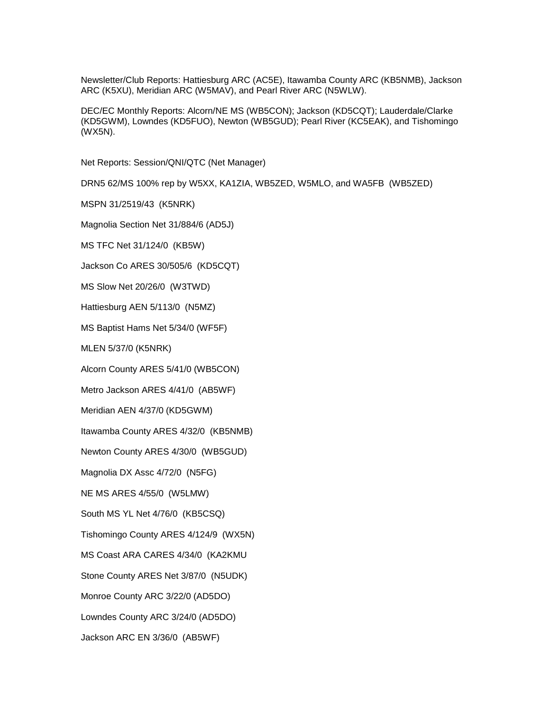Newsletter/Club Reports: Hattiesburg ARC (AC5E), Itawamba County ARC (KB5NMB), Jackson ARC (K5XU), Meridian ARC (W5MAV), and Pearl River ARC (N5WLW).

DEC/EC Monthly Reports: Alcorn/NE MS (WB5CON); Jackson (KD5CQT); Lauderdale/Clarke (KD5GWM), Lowndes (KD5FUO), Newton (WB5GUD); Pearl River (KC5EAK), and Tishomingo (WX5N).

Net Reports: Session/QNI/QTC (Net Manager)

DRN5 62/MS 100% rep by W5XX, KA1ZIA, WB5ZED, W5MLO, and WA5FB (WB5ZED)

MSPN 31/2519/43 (K5NRK)

Magnolia Section Net 31/884/6 (AD5J)

MS TFC Net 31/124/0 (KB5W)

Jackson Co ARES 30/505/6 (KD5CQT)

MS Slow Net 20/26/0 (W3TWD)

Hattiesburg AEN 5/113/0 (N5MZ)

MS Baptist Hams Net 5/34/0 (WF5F)

MLEN 5/37/0 (K5NRK)

Alcorn County ARES 5/41/0 (WB5CON)

Metro Jackson ARES 4/41/0 (AB5WF)

Meridian AEN 4/37/0 (KD5GWM)

Itawamba County ARES 4/32/0 (KB5NMB)

Newton County ARES 4/30/0 (WB5GUD)

Magnolia DX Assc 4/72/0 (N5FG)

NE MS ARES 4/55/0 (W5LMW)

South MS YL Net 4/76/0 (KB5CSQ)

Tishomingo County ARES 4/124/9 (WX5N)

MS Coast ARA CARES 4/34/0 (KA2KMU

Stone County ARES Net 3/87/0 (N5UDK)

Monroe County ARC 3/22/0 (AD5DO)

Lowndes County ARC 3/24/0 (AD5DO)

Jackson ARC EN 3/36/0 (AB5WF)